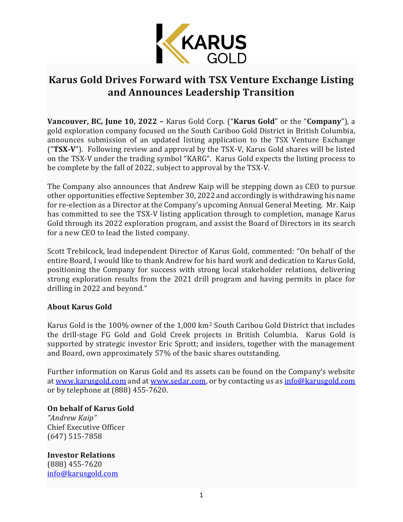

## **Karus Gold Drives Forward with TSX Venture Exchange Listing and Announces Leadership Transition**

**Vancouver, BC, June 10, 2022 –** Karus Gold Corp. ("**Karus Gold**" or the "**Company**"), a gold exploration company focused on the South Cariboo Gold District in British Columbia, announces submission of an updated listing application to the TSX Venture Exchange ("**TSX-V**"). Following review and approval by the TSX-V, Karus Gold shares will be listed on the TSX-V under the trading symbol "KARG". Karus Gold expects the listing process to be complete by the fall of 2022, subject to approval by the TSX-V.

The Company also announces that Andrew Kaip will be stepping down as CEO to pursue other opportunities effective September 30, 2022 and accordingly is withdrawing his name for re-election as a Director at the Company's upcoming Annual General Meeting. Mr. Kaip has committed to see the TSX-V listing application through to completion, manage Karus Gold through its 2022 exploration program, and assist the Board of Directors in its search for a new CEO to lead the listed company.

Scott Trebilcock, lead independent Director of Karus Gold, commented: "On behalf of the entire Board, I would like to thank Andrew for his hard work and dedication to Karus Gold, positioning the Company for success with strong local stakeholder relations, delivering strong exploration results from the 2021 drill program and having permits in place for drilling in 2022 and beyond."

## **About Karus Gold**

Karus Gold is the 100% owner of the 1,000 km<sup>2</sup> South Caribou Gold District that includes the drill-stage FG Gold and Gold Creek projects in British Columbia. Karus Gold is supported by strategic investor Eric Sprott; and insiders, together with the management and Board, own approximately 57% of the basic shares outstanding.

Further information on Karus Gold and its assets can be found on the Company's website at [www.karusgold.com](http://www.karusgold.com/) and at [www.sedar.com,](http://www.sedar.com/) or by contacting us as [info@karusgold.com](mailto:info@karusgold.com) or by telephone at (888) 455-7620.

## **On behalf of Karus Gold**

*"Andrew Kaip"* Chief Executive Officer (647) 515-7858

**Investor Relations** (888) 455-7620 [info@karusgold.com](mailto:info@karusgold.com)